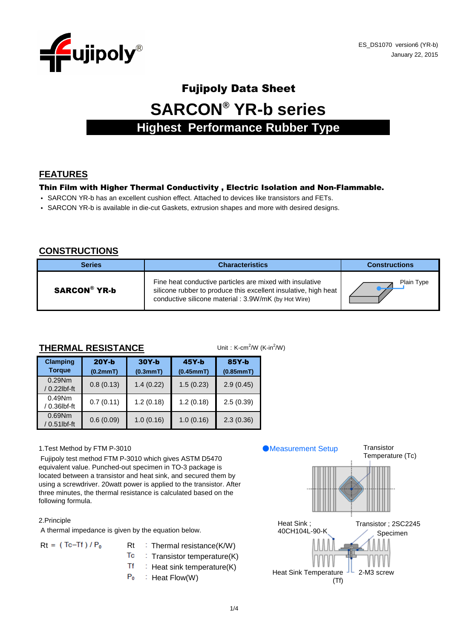

# Fujipoly Data Sheet **SARCON® YR-b series Highest Performance Rubber Type**

### **FEATURES**

#### Thin Film with Higher Thermal Conductivity , Electric Isolation and Non-Flammable.

- SARCON YR-b has an excellent cushion effect. Attached to devices like transistors and FETs.
- SARCON YR-b is available in die-cut Gaskets, extrusion shapes and more with desired designs.

#### **CONSTRUCTIONS**

| <b>Series</b>       | <b>Characteristics</b>                                                                                                                                                              | <b>Constructions</b> |  |  |  |
|---------------------|-------------------------------------------------------------------------------------------------------------------------------------------------------------------------------------|----------------------|--|--|--|
| <b>SARCON® YR-b</b> | Fine heat conductive particles are mixed with insulative<br>silicone rubber to produce this excellent insulative, high heat<br>conductive silicone material : 3.9W/mK (by Hot Wire) | Plain Type           |  |  |  |

#### **THERMAL RESISTANCE**

| Unit: K-cm <sup>2</sup> /W (K-in <sup>2</sup> /W)<br><b>THERMAL RESISTANCE</b> |                     |                     |                      |                    |  |  |  |  |  |  |  |
|--------------------------------------------------------------------------------|---------------------|---------------------|----------------------|--------------------|--|--|--|--|--|--|--|
| <b>Clamping</b><br><b>Torque</b>                                               | $20Y-b$<br>(0.2mmT) | $30Y-b$<br>(0.3mmT) | $45Y-b$<br>(0.45mmT) | 85Y-b<br>(0.85mmT) |  |  |  |  |  |  |  |
| $0.29$ Nm<br>/ 0.22lbf-ft                                                      | 0.8(0.13)           | 1.4(0.22)           | 1.5(0.23)            | 2.9(0.45)          |  |  |  |  |  |  |  |
| $0.49$ Nm<br>/ 0.36lbf-ft                                                      | 0.7(0.11)           | 1.2(0.18)           | 1.2(0.18)            | 2.5(0.39)          |  |  |  |  |  |  |  |
| $0.69$ Nm<br>/ 0.51lbf-ft                                                      | 0.6(0.09)           | 1.0(0.16)           | 1.0(0.16)            | 2.3(0.36)          |  |  |  |  |  |  |  |

#### 1.Test Method by FTM P-3010

 Fujipoly test method FTM P-3010 which gives ASTM D5470 equivalent value. Punched-out specimen in TO-3 package is located between a transistor and heat sink, and secured them by using a screwdriver. 20watt power is applied to the transistor. After three minutes, the thermal resistance is calculated based on the following formula.

#### 2.Principle

A thermal impedance is given by the equation below.

| $Rt = (Tc-Tf)/P_0$ | $Rt$ : Thermal re  |
|--------------------|--------------------|
|                    | $T_c$ : Transistor |
|                    | $Tf$ : Heat sink t |

- esistance(K/W)
- $temperature(K)$
- temperature(K)
- $P_0$  : Heat Flow(W)

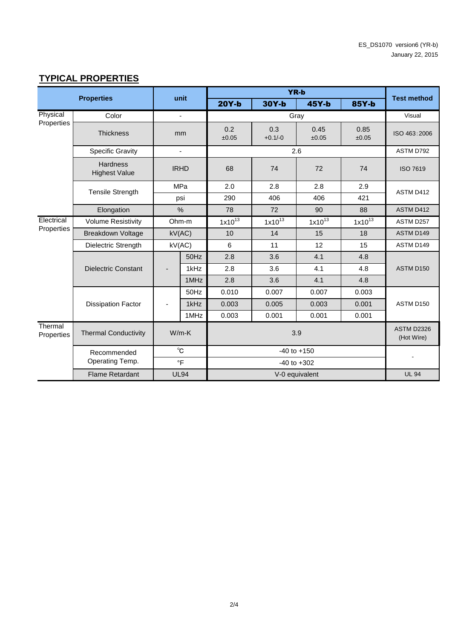## **TYPICAL PROPERTIES**

| <b>Properties</b>     |                                         | unit                           |                |              | <b>Test method</b>              |               |               |                 |  |  |
|-----------------------|-----------------------------------------|--------------------------------|----------------|--------------|---------------------------------|---------------|---------------|-----------------|--|--|
|                       |                                         |                                |                | $20Y-b$      | $30Y-b$                         | $45Y-b$       | 85Y-b         |                 |  |  |
| Physical              | Color                                   |                                | $\blacksquare$ | Gray         |                                 |               |               | Visual          |  |  |
| Properties            | <b>Thickness</b>                        | mm                             |                | 0.2<br>±0.05 | 0.3<br>$+0.1/-0$                | 0.45<br>±0.05 | 0.85<br>±0.05 | ISO 463:2006    |  |  |
|                       | <b>Specific Gravity</b>                 |                                | $\blacksquare$ |              |                                 | 2.6           |               | ASTM D792       |  |  |
|                       | <b>Hardness</b><br><b>Highest Value</b> | <b>IRHD</b>                    |                | 68           | 74                              | 72            | 74            | <b>ISO 7619</b> |  |  |
|                       | <b>Tensile Strength</b>                 |                                | MPa            | 2.0          | 2.8                             | 2.8           | 2.9           | ASTM D412       |  |  |
|                       |                                         |                                | psi            | 290          | 406                             | 406           | 421           |                 |  |  |
|                       | Elongation                              |                                | %              | 78           | 72                              | 90            | 88            | ASTM D412       |  |  |
| Electrical            | <b>Volume Resistivity</b>               | Ohm-m                          |                | $1x10^{13}$  | $1x10^{13}$                     | $1x10^{13}$   | $1x10^{13}$   | ASTM D257       |  |  |
| Properties            | <b>Breakdown Voltage</b>                |                                | kV(AC)         | 10           | 14                              | 15            | 18            | ASTM D149       |  |  |
|                       | Dielectric Strength                     | kV(AC)                         |                | 6            | 11                              | 12            | 15            | ASTM D149       |  |  |
|                       |                                         |                                | 50Hz           | 2.8          | 3.6                             | 4.1           | 4.8           |                 |  |  |
|                       | <b>Dielectric Constant</b>              |                                | 1kHz           | 2.8          | 3.6                             | 4.1           | 4.8           | ASTM D150       |  |  |
|                       |                                         |                                | 1MHz           | 2.8          | 3.6                             | 4.1           | 4.8           |                 |  |  |
|                       |                                         |                                | 50Hz           | 0.010        | 0.007                           | 0.007         | 0.003         |                 |  |  |
|                       | <b>Dissipation Factor</b>               | ٠                              | 1kHz           | 0.003        | 0.005                           | 0.003         | 0.001         | ASTM D150       |  |  |
|                       |                                         |                                | 1MHz           | 0.003        | 0.001                           | 0.001         | 0.001         |                 |  |  |
| Thermal<br>Properties | <b>Thermal Conductivity</b>             | $W/m-K$                        |                |              | <b>ASTM D2326</b><br>(Hot Wire) |               |               |                 |  |  |
|                       | Recommended<br>Operating Temp.          | $^{\circ}$ C<br>$\overline{F}$ |                |              |                                 |               |               |                 |  |  |
|                       | <b>Flame Retardant</b>                  |                                | <b>UL94</b>    |              | V-0 equivalent                  |               |               |                 |  |  |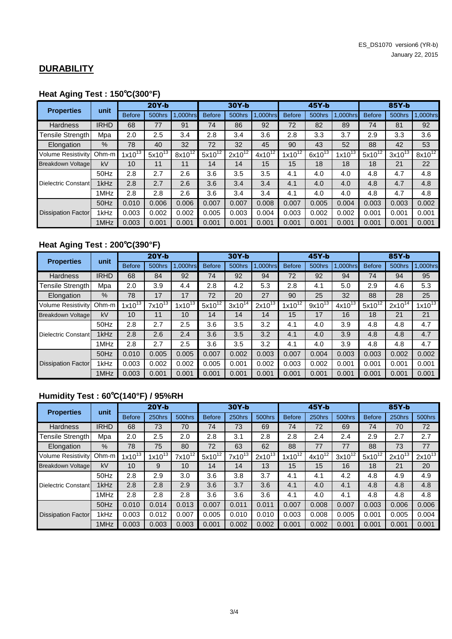## **DURABILITY**

# **Heat Aging Test : 150**℃**(300°F)**

| <b>Properties</b>         | unit        | $20Y-b$       |             |             | $30Y-b$       |             |             | $45Y-b$       |             |             | 85Y-b         |             |             |
|---------------------------|-------------|---------------|-------------|-------------|---------------|-------------|-------------|---------------|-------------|-------------|---------------|-------------|-------------|
|                           |             | <b>Before</b> | 500hrs      | 1.000hrs    | <b>Before</b> | 500hrs      | .000hrs     | <b>Before</b> | 500hrs      | 1,000hrs    | <b>Before</b> | 500hrs      | .000hrs     |
| Hardness                  | <b>IRHD</b> | 68            | 77          | 91          | 74            | 86          | 92          | 72            | 82          | 89          | 74            | 81          | 92          |
| Tensile Strength          | Mpa         | 2.0           | 2.5         | 3.4         | 2.8           | 3.4         | 3.6         | 2.8           | 3.3         | 3.7         | 2.9           | 3.3         | 3.6         |
| Elongation                | $\%$        | 78            | 40          | 32          | 72            | 32          | 45          | 90            | 43          | 52          | 88            | 42          | 53          |
| <b>Volume Resistivity</b> | Ohm-m       | $1x10^{13}$   | $5x10^{13}$ | $8x10^{12}$ | $5x10^{12}$   | $2x10^{12}$ | $4x10^{12}$ | $1x10^{12}$   | $6x10^{13}$ | $1x10^{13}$ | $5x10^{12}$   | $3x10^{13}$ | $8x10^{12}$ |
| <b>Breakdown Voltage</b>  | kV          | 10            | 11          | 11          | 14            | 14          | 15          | 15            | 18          | 18          | 18            | 21          | 22          |
|                           | 50Hz        | 2.8           | 2.7         | 2.6         | 3.6           | 3.5         | 3.5         | 4.1           | 4.0         | 4.0         | 4.8           | 4.7         | 4.8         |
| Dielectric Constant       | 1kHz        | 2.8           | 2.7         | 2.6         | 3.6           | 3.4         | 3.4         | 4.1           | 4.0         | 4.0         | 4.8           | 4.7         | 4.8         |
|                           | 1MHz        | 2.8           | 2.8         | 2.6         | 3.6           | 3.4         | 3.4         | 4.1           | 4.0         | 4.0         | 4.8           | 4.7         | 4.8         |
|                           | 50Hz        | 0.010         | 0.006       | 0.006       | 0.007         | 0.007       | 0.008       | 0.007         | 0.005       | 0.004       | 0.003         | 0.003       | 0.002       |
| <b>Dissipation Factor</b> | 1kHz        | 0.003         | 0.002       | 0.002       | 0.005         | 0.003       | 0.004       | 0.003         | 0.002       | 0.002       | 0.001         | 0.001       | 0.001       |
|                           | 1MHz        | 0.003         | 0.001       | 0.001       | 0.001         | 0.001       | 0.001       | 0.001         | 0.001       | 0.001       | 0.001         | 0.001       | 0.001       |

## **Heat Aging Test : 200**℃**(390°F)**

| <b>Properties</b>         | unit        | $20Y-b$       |             |             | 30Y-b         |             |             | 45Y-b         |             |             | 85Y-b         |             |             |
|---------------------------|-------------|---------------|-------------|-------------|---------------|-------------|-------------|---------------|-------------|-------------|---------------|-------------|-------------|
|                           |             | <b>Before</b> | 500hrs      | 1.000hrs    | <b>Before</b> | 500hrs      | .000hrs     | <b>Before</b> | 500hrs      | .000hrs     | <b>Before</b> | 500hrs      | .000hrs     |
| Hardness                  | <b>IRHD</b> | 68            | 84          | 92          | 74            | 92          | 94          | 72            | 92          | 94          | 74            | 94          | 95          |
| Tensile Strength          | Mpa         | 2.0           | 3.9         | 4.4         | 2.8           | 4.2         | 5.3         | 2.8           | 4.1         | 5.0         | 2.9           | 4.6         | 5.3         |
| Elongation                | $\%$        | 78            | 17          | 17          | 72            | 20          | 27          | 90            | 25          | 32          | 88            | 28          | 25          |
| <b>Volume Resistivity</b> | $Ohm-m$     | $1x10^{13}$   | $7x10^{13}$ | $1x10^{13}$ | $5x10^{12}$   | $3x10^{14}$ | $2x10^{13}$ | $1x10^{12}$   | $9x10^{13}$ | $4x10^{13}$ | $5x10^{12}$   | $2x10^{14}$ | $1x10^{13}$ |
| <b>Breakdown Voltage</b>  | kV          | 10            | 11          | 10          | 14            | 14          | 14          | 15            | 17          | 16          | 18            | 21          | 21          |
|                           | 50Hz        | 2.8           | 2.7         | 2.5         | 3.6           | 3.5         | 3.2         | 4.1           | 4.0         | 3.9         | 4.8           | 4.8         | 4.7         |
| Dielectric Constant       | 1kHz        | 2.8           | 2.6         | 2.4         | 3.6           | 3.5         | 3.2         | 4.1           | 4.0         | 3.9         | 4.8           | 4.8         | 4.7         |
|                           | 1MHz        | 2.8           | 2.7         | 2.5         | 3.6           | 3.5         | 3.2         | 4.1           | 4.0         | 3.9         | 4.8           | 4.8         | 4.7         |
|                           | 50Hz        | 0.010         | 0.005       | 0.005       | 0.007         | 0.002       | 0.003       | 0.007         | 0.004       | 0.003       | 0.003         | 0.002       | 0.002       |
| <b>Dissipation Factor</b> | 1kHz        | 0.003         | 0.002       | 0.002       | 0.005         | 0.001       | 0.002       | 0.003         | 0.002       | 0.001       | 0.001         | 0.001       | 0.001       |
|                           | 1MHz        | 0.003         | 0.001       | 0.001       | 0.001         | 0.001       | 0.001       | 0.001         | 0.001       | 0.001       | 0.001         | 0.001       | 0.001       |

# **Humidity Test : 60**℃**(140°F) / 95%RH**

| <b>Properties</b>         | unit        | 20Y-b         |             |             | $30Y-b$       |             |             | $45Y-b$       |             |             | 85Y-b         |             |             |
|---------------------------|-------------|---------------|-------------|-------------|---------------|-------------|-------------|---------------|-------------|-------------|---------------|-------------|-------------|
|                           |             | <b>Before</b> | 250hrs      | 500hrs      | <b>Before</b> | 250hrs      | 500hrs      | <b>Before</b> | 250hrs      | 500hrs      | <b>Before</b> | 250hrs      | 500hrs      |
| Hardness                  | <b>IRHD</b> | 68            | 73          | 70          | 74            | 73          | 69          | 74            | 72          | 69          | 74            | 70          | 72          |
| Tensile Strength          | Mpa         | 2.0           | 2.5         | 2.0         | 2.8           | 3.1         | 2.8         | 2.8           | 2.4         | 2.4         | 2.9           | 2.7         | 2.7         |
| Elongation                | $\%$        | 78            | 75          | 80          | 72            | 63          | 62          | 88            | 77          | 77          | 88            | 73          | 77          |
| <b>Volume Resistivity</b> | Ohm-m       | $1x10^{13}$   | $1x10^{13}$ | $7x10^{12}$ | $5x10^{12}$   | $7x10^{13}$ | $2x10^{13}$ | $1x10^{12}$   | $4x10^{12}$ | $3x10^{12}$ | $5x10^{12}$   | $2x10^{13}$ | $2x10^{13}$ |
| <b>Breakdown Voltage</b>  | kV          | 10            | 9           | 10          | 14            | 14          | 13          | 15            | 15          | 16          | 18            | 21          | 20          |
|                           | 50Hz        | 2.8           | 2.9         | 3.0         | 3.6           | 3.8         | 3.7         | 4.1           | 4.1         | 4.2         | 4.8           | 4.9         | 4.9         |
| Dielectric Constant       | 1kHz        | 2.8           | 2.8         | 2.9         | 3.6           | 3.7         | 3.6         | 4.1           | 4.0         | 4.1         | 4.8           | 4.8         | 4.8         |
|                           | 1MHz        | 2.8           | 2.8         | 2.8         | 3.6           | 3.6         | 3.6         | 4.1           | 4.0         | 4.1         | 4.8           | 4.8         | 4.8         |
| <b>Dissipation Factor</b> | 50Hz        | 0.010         | 0.014       | 0.013       | 0.007         | 0.011       | 0.011       | 0.007         | 0.008       | 0.007       | 0.003         | 0.006       | 0.006       |
|                           | 1kHz        | 0.003         | 0.012       | 0.007       | 0.005         | 0.010       | 0.010       | 0.003         | 0.008       | 0.005       | 0.001         | 0.005       | 0.004       |
|                           | 1MHz        | 0.003         | 0.003       | 0.003       | 0.001         | 0.002       | 0.002       | 0.001         | 0.002       | 0.001       | 0.001         | 0.001       | 0.001       |